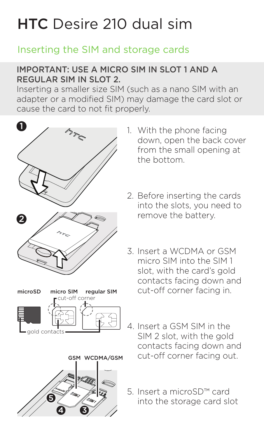# HTC Desire 210 dual sim

### Inserting the SIM and storage cards

#### IMPORTANT: USE A MICRO SIM IN SLOT 1 AND A REGULAR SIM IN SLOT 2.

Inserting a smaller size SIM (such as a nano SIM with an adapter or a modified SIM) may damage the card slot or cause the card to not fit properly.







- 1. With the phone facing down, open the back cover from the small opening at the bottom.
- 2. Before inserting the cards into the slots, you need to remove the battery.
- 3. Insert a WCDMA or GSM micro SIM into the SIM 1 slot, with the card's gold contacts facing down and cut-off corner facing in.
- 4. Insert a GSM SIM in the SIM 2 slot, with the gold contacts facing down and cut-off corner facing out.
- 5. Insert a microSD™ card into the storage card slot